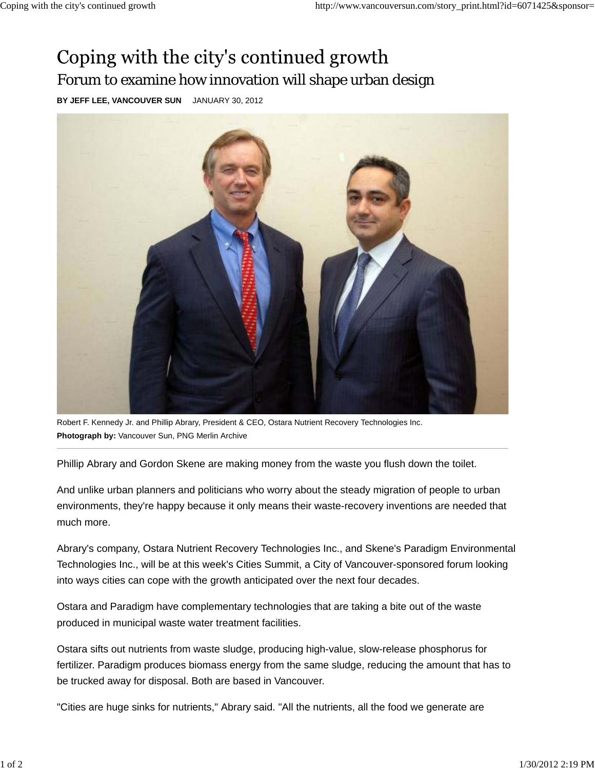## Coping with the city's continued growth Forum to examine how innovation will shape urban design

**BY JEFF LEE, VANCOUVER SUN** JANUARY 30, 2012



Robert F. Kennedy Jr. and Phillip Abrary, President & CEO, Ostara Nutrient Recovery Technologies Inc. **Photograph by:** Vancouver Sun, PNG Merlin Archive

Phillip Abrary and Gordon Skene are making money from the waste you flush down the toilet.

And unlike urban planners and politicians who worry about the steady migration of people to urban environments, they're happy because it only means their waste-recovery inventions are needed that much more.

Abrary's company, Ostara Nutrient Recovery Technologies Inc., and Skene's Paradigm Environmental Technologies Inc., will be at this week's Cities Summit, a City of Vancouver-sponsored forum looking into ways cities can cope with the growth anticipated over the next four decades.

Ostara and Paradigm have complementary technologies that are taking a bite out of the waste produced in municipal waste water treatment facilities.

Ostara sifts out nutrients from waste sludge, producing high-value, slow-release phosphorus for fertilizer. Paradigm produces biomass energy from the same sludge, reducing the amount that has to be trucked away for disposal. Both are based in Vancouver.

"Cities are huge sinks for nutrients," Abrary said. "All the nutrients, all the food we generate are